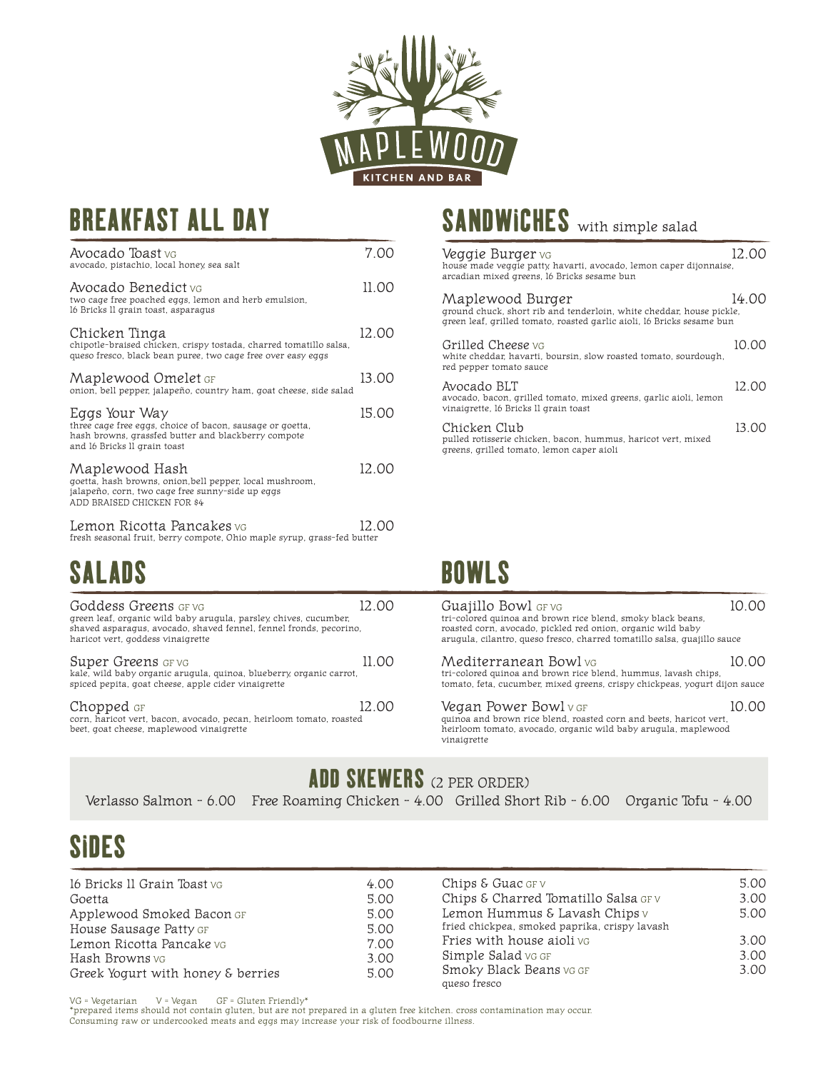

## BREAKFAST ALL DAY

| Avocado Toast vg<br>avocado, pistachio, local honey, sea salt                                                                                                     | 7 00  |
|-------------------------------------------------------------------------------------------------------------------------------------------------------------------|-------|
| Avocado Benedict vg<br>two cage free poached eggs, lemon and herb emulsion,<br>16 Bricks II grain toast, asparagus                                                | 11.00 |
| Chicken Tinga<br>chipotle-braised chicken, crispy tostada, charred tomatillo salsa,<br>queso fresco, black bean puree, two cage free over easy eggs               | 12.00 |
| Maplewood Omelet GF<br>onion, bell pepper, jalapeño, country ham, goat cheese, side salad                                                                         | 13.00 |
| Eggs Your Way<br>three cage free eggs, choice of bacon, sausage or goetta,<br>hash browns, grassfed butter and blackberry compote<br>and 16 Bricks II grain toast | 15.00 |
| Maplewood Hash<br>goetta, hash browns, onion, bell pepper, local mushroom,<br>jalapeño, corn, two cage free sunny-side up eggs<br>ADD BRAISED CHICKEN FOR \$4     | 12.00 |
| Lemon Ricotta Pancakes vg<br>fresh seasonal fruit, berry compote, Ohio maple syrup, grass-fed butter                                                              | 12.00 |

## SALADS

| <b>Goddess Greens</b> GF VG<br>green leaf, organic wild baby arugula, parsley, chives, cucumber,<br>shaved asparaqus, avocado, shaved fennel, fennel fronds, pecorino,<br>haricot vert, goddess vinaigrette |       |
|-------------------------------------------------------------------------------------------------------------------------------------------------------------------------------------------------------------|-------|
| <b>Super Greens</b> GF VG<br>kale, wild baby organic arugula, quinoa, blueberry, organic carrot,<br>spiced pepita, goat cheese, apple cider vinaigrette                                                     | 11 OO |
| Chopped GF<br>corn, haricot vert, bacon, avocado, pecan, heirloom tomato, roasted<br>beet, goat cheese, maplewood vinaigrette                                                                               | 12.00 |

## SANDWICHES with simple salad

| Veggie Burger vo<br>house made veggie patty, havarti, avocado, lemon caper dijonnaise,<br>arcadian mixed greens, 16 Bricks sesame bun                              | 12. OO |
|--------------------------------------------------------------------------------------------------------------------------------------------------------------------|--------|
| Maplewood Burger<br>ground chuck, short rib and tenderloin, white cheddar, house pickle,<br>green leaf, grilled tomato, roasted garlic aioli, 16 Bricks sesame bun | 14.OO  |
| Grilled Cheese vg<br>white cheddar, havarti, boursin, slow roasted tomato, sourdough,<br>red pepper tomato sauce                                                   | 10.00  |
| Avocado BLT<br>avocado, bacon, grilled tomato, mixed greens, garlic aioli, lemon<br>vinaigrette, 16 Bricks II grain toast                                          | 12.00  |
| Chicken Club<br>pulled rotisserie chicken, bacon, hummus, haricot vert, mixed<br>greens, grilled tomato, lemon caper aioli                                         | 13.00  |

## BOWLS

| ives. cucumber.<br>fronds, pecorino, | 12.00 | Guajillo Bowl GF VG<br>tri-colored quinoa and brown rice blend, smoky black beans,<br>roasted corn, avocado, pickled red onion, organic wild baby<br>arugula, cilantro, queso fresco, charred tomatillo salsa, quajillo sauce | 10.00 |
|--------------------------------------|-------|-------------------------------------------------------------------------------------------------------------------------------------------------------------------------------------------------------------------------------|-------|
| y, organic carrot,                   | 11.00 | Mediterranean Bowl vg<br>tri-colored quinoa and brown rice blend, hummus, lavash chips,<br>tomato, feta, cucumber, mixed greens, crispy chickpeas, yogurt dijon sauce                                                         | 10.00 |
| m tomato, roasted                    | 12.00 | Vegan Power Bowl v GF<br>quinoa and brown rice blend, roasted corn and beets, haricot vert,<br>heirloom tomato, avocado, organic wild baby arugula, maplewood<br>vinaigrette                                                  | 10.00 |

ADD SKEWERS (2 PER ORDER)

# SIDES

| 16 Bricks II Grain Toast vg       | 4.00 | Chips $\epsilon$ Guac GF $\vee$               | 5.00 |
|-----------------------------------|------|-----------------------------------------------|------|
| Goetta                            | 5.00 | Chips & Charred Tomatillo Salsa GFV           | 3.00 |
| Applewood Smoked Bacon GF         | 5.00 | Lemon Hummus & Lavash Chips v                 | 5.00 |
| House Sausage Patty GF            | 5.00 | fried chickpea, smoked paprika, crispy lavash |      |
| Lemon Ricotta Pancake vG          | 7.00 | Fries with house aioli vo                     | 3.00 |
| <b>Hash Browns</b> vg             | 3.00 | Simple Salad vg GF                            | 3.00 |
| Greek Yogurt with honey & berries | 5.00 | Smoky Black Beans vg GF<br>queso fresco       | 3.00 |

VG = Vegetarian V = Vegan GF = Gluten Friendly\* \*prepared items should not contain gluten, but are not prepared in a gluten free kitchen. cross contamination may occur. Consuming raw or undercooked meats and eggs may increase your risk of foodbourne illness.